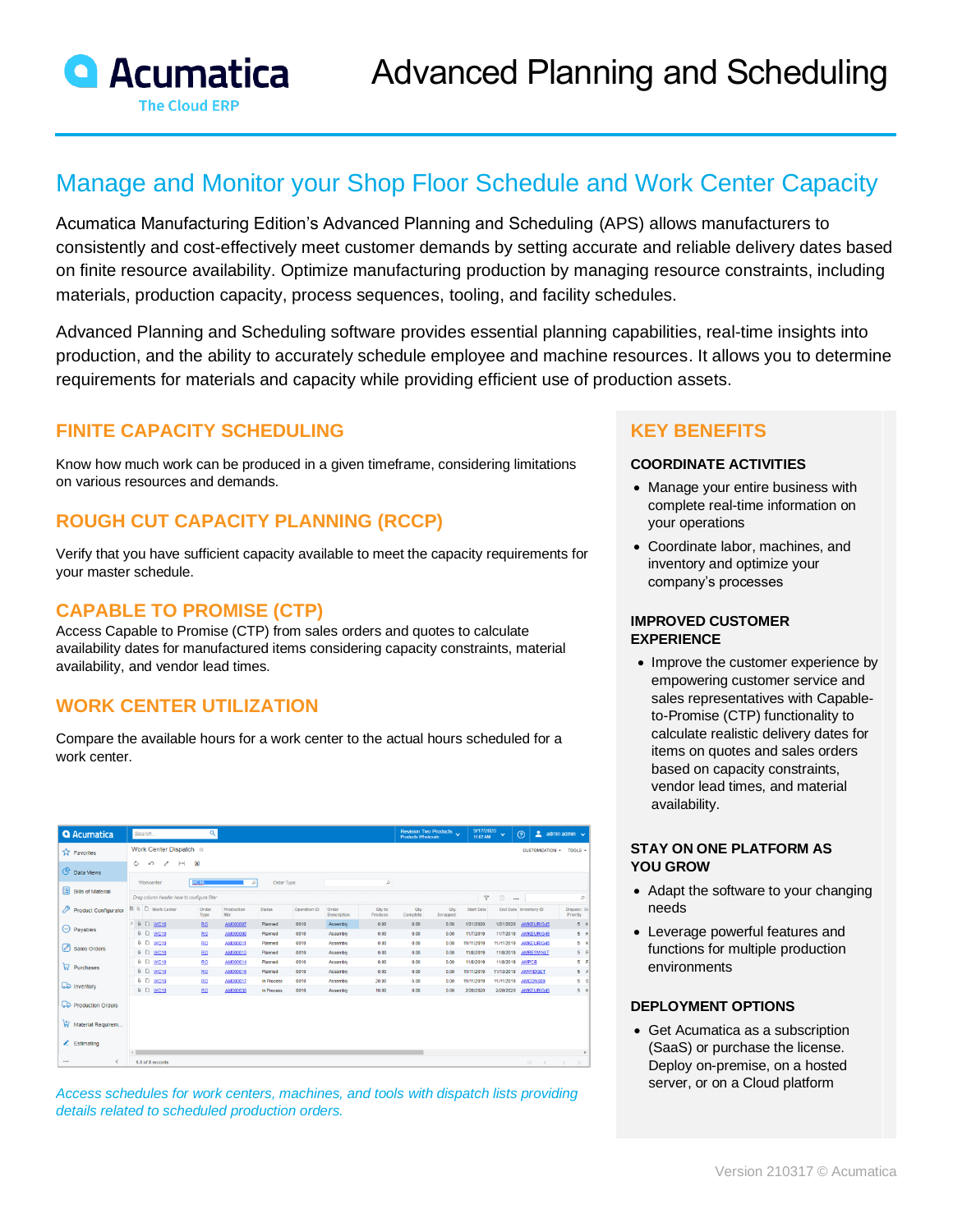

# Manage and Monitor your Shop Floor Schedule and Work Center Capacity

Acumatica Manufacturing Edition's Advanced Planning and Scheduling (APS) allows manufacturers to consistently and cost-effectively meet customer demands by setting accurate and reliable delivery dates based on finite resource availability. Optimize manufacturing production by managing resource constraints, including materials, production capacity, process sequences, tooling, and facility schedules.

Advanced Planning and Scheduling software provides essential planning capabilities, real-time insights into production, and the ability to accurately schedule employee and machine resources. It allows you to determine requirements for materials and capacity while providing efficient use of production assets.

# **FINITE CAPACITY SCHEDULING**

Know how much work can be produced in a given timeframe, considering limitations on various resources and demands.

# **ROUGH CUT CAPACITY PLANNING (RCCP)**

Verify that you have sufficient capacity available to meet the capacity requirements for your master schedule.

### **CAPABLE TO PROMISE (CTP)**

Access Capable to Promise (CTP) from sales orders and quotes to calculate availability dates for manufactured items considering capacity constraints, material availability, and vendor lead times.

# **WORK CENTER UTILIZATION**

Compare the available hours for a work center to the actual hours scheduled for a work center.

| <b>Q</b> Acumatica                       | Q<br>Search                                                                |               |                      |                          |              |                         |                    |                 | Revision Two Products<br><b>Products Wholesale</b> | 9/17/2020<br>11:02 AM   | $\ddotmark$             | А<br>$\odot$                  | admin admin v           |  |  |
|------------------------------------------|----------------------------------------------------------------------------|---------------|----------------------|--------------------------|--------------|-------------------------|--------------------|-----------------|----------------------------------------------------|-------------------------|-------------------------|-------------------------------|-------------------------|--|--|
| <b>TA</b> Favorites                      | Work Center Dispatch $\Rightarrow$                                         |               |                      | <b>CUSTOMIZATION *</b>   | TOOLS -      |                         |                    |                 |                                                    |                         |                         |                               |                         |  |  |
| <b>C</b> Data Views                      | Ò<br>$\mathbf{x}$<br>$\sqrt{2}$<br>$\mathscr{O}$<br>ьH<br>Order Type:<br>p |               |                      |                          |              |                         |                    |                 |                                                    |                         |                         |                               |                         |  |  |
| 图<br><b>Bills of Material</b>            | <b>Workcenter</b><br>Drag column header here to configure filter           | <b>WC10</b>   | $\mathcal{Q}$        |                          |              | $\overline{\mathbf{Y}}$ | $\Box$<br>$\cdots$ |                 | p                                                  |                         |                         |                               |                         |  |  |
| 19<br><b>Product Configurator</b>        | <b>R</b> & D Work Center                                                   | Order<br>Type | Production<br>Nbr    | <b>Status</b>            | Operation ID | Order<br>Description    | Qty to<br>Produce  | Qty<br>Complete | Qty<br>Scrapped                                    | <b>Start Date</b>       |                         | End Date Inventory ID         | Dispatcl Do<br>Priority |  |  |
| Θ<br>Payables                            | <b>8</b> □ WC10                                                            | <b>RQ</b>     | AM000007             | Planned                  | 0010         | Assembly                | 0.00               | 0.00            | 0.00                                               | 1/21/2020               | 1/21/2020               | <b>AMKEURIG45</b>             | 5 <sup>k</sup>          |  |  |
|                                          | <b>6 □ WC10</b>                                                            | <b>RQ</b>     | AM000009             | Planned                  | 0010         | Assembly                | 0.00               | 0.00            | 0.00                                               | 11/7/2019               | 11/7/2019               | <b>AMKEURIG45</b>             | 5 k                     |  |  |
| ⊘<br>Sales Orders                        | <b>6 □ WC10</b>                                                            | <b>RO</b>     | AM000011             | Planned                  | 0010         | Assembly                | 0.00               | 0.00            | 0.00                                               | 11/11/2019              | 11/11/2019              | <b>AMKEURIG45</b>             | 5 k                     |  |  |
|                                          | <b>6 D WC10</b>                                                            | <b>RQ</b>     | AM000012             | Planned                  | 0010         | Assembly                | 0.00               | 0.00            | 0.00                                               | 11/8/2019               | 11/8/2019               | <b>AMRESVINLT</b>             | $5$ R                   |  |  |
| $\Box$ Purchases                         | <b>6 □ WC10</b>                                                            | <b>RO</b>     | AM000014             | Planned                  | 0010         | Assembly                | 0.00               | 0.00            | 0.00                                               | 11/8/2019               | 11/8/2019               | <b>AMPCB</b>                  | $5$ $F$                 |  |  |
|                                          | 0 □ WC10                                                                   | <b>RO</b>     | AM000016             | Planned                  | 0010         | Assembly                | 0.00               | 0.00            | 0.00                                               | 11/11/2019              | 11/13/2019              | <b>AMMIDGET</b>               | 5A                      |  |  |
| <b>LD</b> Inventory                      | 0 □ WC10<br><b>6 □ WC10</b>                                                | <b>RQ</b>     | AM000017<br>AM000038 | In Process<br>In Process | 0010<br>0010 | Assembly                | 20.00<br>10.00     | 5.00<br>0.00    | 0.00<br>0.00                                       | 11/11/2019<br>2/20/2020 | 11/11/2019<br>2/20/2020 | AMCON009<br><b>AMKEURIG45</b> | 5S<br>5 K               |  |  |
| Production Orders                        |                                                                            | <b>RQ</b>     |                      |                          |              | Assembly                |                    |                 |                                                    |                         |                         |                               |                         |  |  |
| Material Requirem<br>$\angle$ Estimating |                                                                            |               |                      |                          |              |                         |                    |                 |                                                    |                         |                         |                               |                         |  |  |
|                                          |                                                                            |               |                      |                          |              |                         |                    |                 |                                                    |                         |                         |                               | ٠                       |  |  |
| ₹<br>$\cdots$                            | 1-8 of 8 records                                                           |               |                      |                          |              |                         |                    |                 |                                                    |                         |                         | $\mathbb{R}$<br>$\langle$ >   | >1                      |  |  |

*Access schedules for work centers, machines, and tools with dispatch lists providing details related to scheduled production orders.*

# **KEY BENEFITS**

#### **COORDINATE ACTIVITIES**

- Manage your entire business with complete real-time information on your operations
- Coordinate labor, machines, and inventory and optimize your company's processes

#### **IMPROVED CUSTOMER EXPERIENCE**

• Improve the customer experience by empowering customer service and sales representatives with Capableto-Promise (CTP) functionality to calculate realistic delivery dates for items on quotes and sales orders based on capacity constraints, vendor lead times, and material availability.

#### **STAY ON ONE PLATFORM AS YOU GROW**

- Adapt the software to your changing needs
- Leverage powerful features and functions for multiple production environments

#### **DEPLOYMENT OPTIONS**

• Get Acumatica as a subscription (SaaS) or purchase the license. Deploy on-premise, on a hosted server, or on a Cloud platform